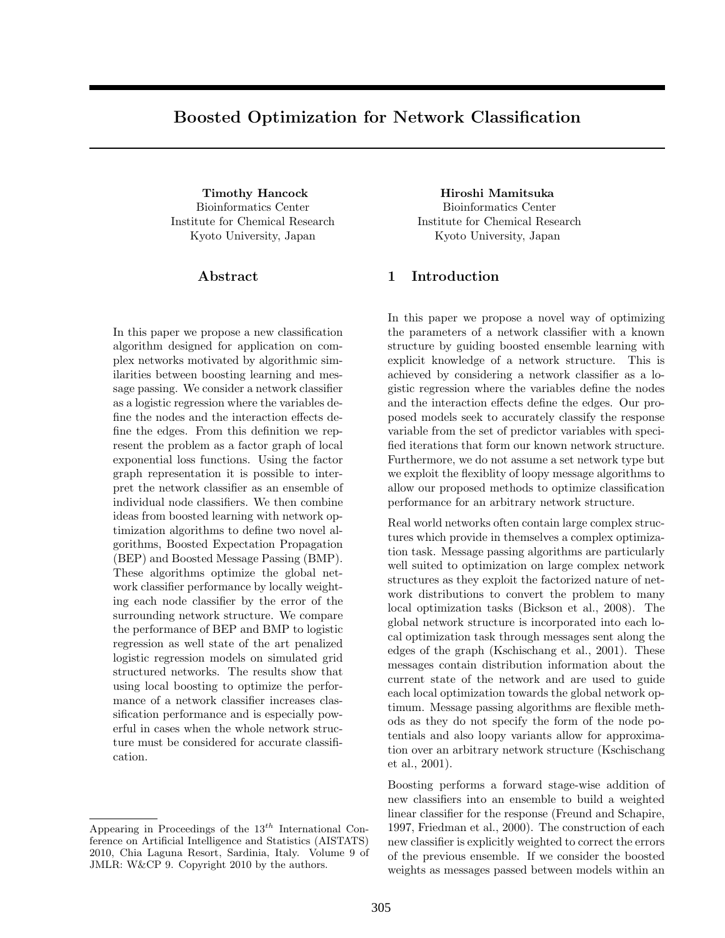# **Boosted Optimization for Network Classification**

Bioinformatics Center Institute for Chemical Research Kyoto University, Japan

## **Abstract**

In this paper we propose a new classification algorithm designed for application on complex networks motivated by algorithmic similarities between boosting learning and message passing. We consider a network classifier as a logistic regression where the variables define the nodes and the interaction effects define the edges. From this definition we represent the problem as a factor graph of local exponential loss functions. Using the factor graph representation it is possible to interpret the network classifier as an ensemble of individual node classifiers. We then combine ideas from boosted learning with network optimization algorithms to define two novel algorithms, Boosted Expectation Propagation (BEP) and Boosted Message Passing (BMP). These algorithms optimize the global network classifier performance by locally weighting each node classifier by the error of the surrounding network structure. We compare the performance of BEP and BMP to logistic regression as well state of the art penalized logistic regression models on simulated grid structured networks. The results show that using local boosting to optimize the performance of a network classifier increases classification performance and is especially powerful in cases when the whole network structure must be considered for accurate classification.

**Timothy Hancock Hiroshi Mamitsuka** Bioinformatics Center Institute for Chemical Research Kyoto University, Japan

## **1 Introduction**

In this paper we propose a novel way of optimizing the parameters of a network classifier with a known structure by guiding boosted ensemble learning with explicit knowledge of a network structure. This is achieved by considering a network classifier as a logistic regression where the variables define the nodes and the interaction effects define the edges. Our proposed models seek to accurately classify the response variable from the set of predictor variables with specified iterations that form our known network structure. Furthermore, we do not assume a set network type but we exploit the flexiblity of loopy message algorithms to allow our proposed methods to optimize classification performance for an arbitrary network structure.

Real world networks often contain large complex structures which provide in themselves a complex optimization task. Message passing algorithms are particularly well suited to optimization on large complex network structures as they exploit the factorized nature of network distributions to convert the problem to many local optimization tasks (Bickson et al., 2008). The global network structure is incorporated into each local optimization task through messages sent along the edges of the graph (Kschischang et al., 2001). These messages contain distribution information about the current state of the network and are used to guide each local optimization towards the global network optimum. Message passing algorithms are flexible methods as they do not specify the form of the node potentials and also loopy variants allow for approximation over an arbitrary network structure (Kschischang et al., 2001).

Boosting performs a forward stage-wise addition of new classifiers into an ensemble to build a weighted linear classifier for the response (Freund and Schapire, 1997, Friedman et al., 2000). The construction of each new classifier is explicitly weighted to correct the errors of the previous ensemble. If we consider the boosted weights as messages passed between models within an

Appearing in Proceedings of the 13*th* International Conference on Artificial Intelligence and Statistics (AISTATS) 2010, Chia Laguna Resort, Sardinia, Italy. Volume 9 of JMLR: W&CP 9. Copyright 2010 by the authors.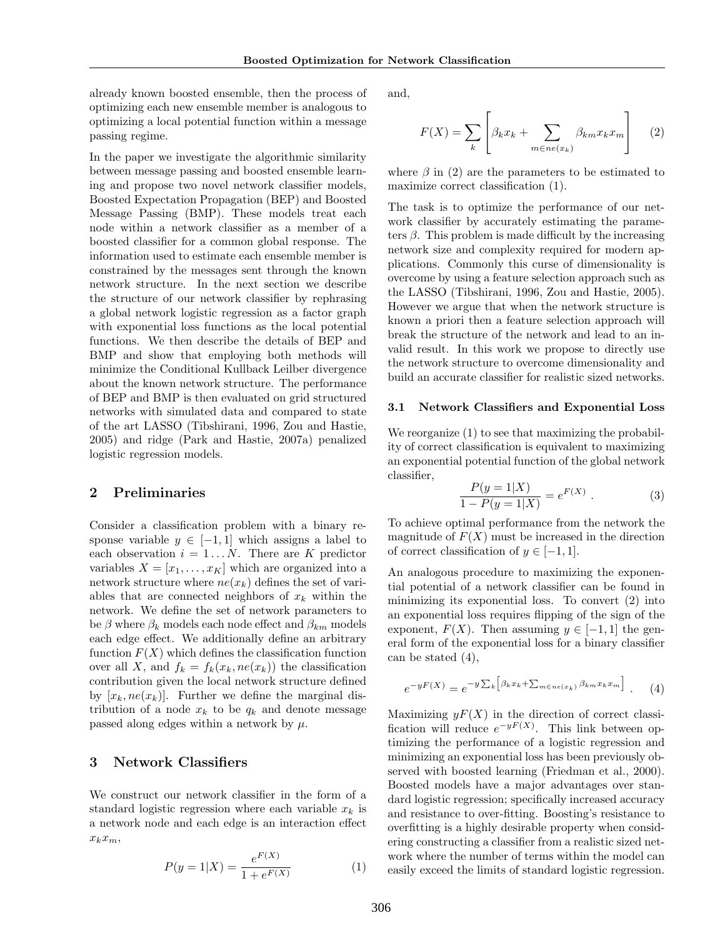already known boosted ensemble, then the process of optimizing each new ensemble member is analogous to optimizing a local potential function within a message passing regime.

In the paper we investigate the algorithmic similarity between message passing and boosted ensemble learning and propose two novel network classifier models, Boosted Expectation Propagation (BEP) and Boosted Message Passing (BMP). These models treat each node within a network classifier as a member of a boosted classifier for a common global response. The information used to estimate each ensemble member is constrained by the messages sent through the known network structure. In the next section we describe the structure of our network classifier by rephrasing a global network logistic regression as a factor graph with exponential loss functions as the local potential functions. We then describe the details of BEP and BMP and show that employing both methods will minimize the Conditional Kullback Leilber divergence about the known network structure. The performance of BEP and BMP is then evaluated on grid structured networks with simulated data and compared to state of the art LASSO (Tibshirani, 1996, Zou and Hastie, 2005) and ridge (Park and Hastie, 2007a) penalized logistic regression models.

## **2 Preliminaries**

Consider a classification problem with a binary response variable  $y \in [-1, 1]$  which assigns a label to each observation  $i = 1...N$ . There are *K* predictor variables  $X = [x_1, \ldots, x_K]$  which are organized into a network structure where  $ne(x_k)$  defines the set of variables that are connected neighbors of *x<sup>k</sup>* within the network. We define the set of network parameters to be  $\beta$  where  $\beta_k$  models each node effect and  $\beta_{km}$  models each edge effect. We additionally define an arbitrary function  $F(X)$  which defines the classification function over all *X*, and  $f_k = f_k(x_k, ne(x_k))$  the classification contribution given the local network structure defined by  $[x_k, ne(x_k)]$ . Further we define the marginal distribution of a node  $x_k$  to be  $q_k$  and denote message passed along edges within a network by *µ*.

## **3 Network Classifiers**

We construct our network classifier in the form of a standard logistic regression where each variable  $x_k$  is a network node and each edge is an interaction effect *xkxm*,

$$
P(y=1|X) = \frac{e^{F(X)}}{1 + e^{F(X)}}\tag{1}
$$

and,

$$
F(X) = \sum_{k} \left[ \beta_k x_k + \sum_{m \in ne(x_k)} \beta_{km} x_k x_m \right]
$$
 (2)

where  $\beta$  in (2) are the parameters to be estimated to maximize correct classification (1).

The task is to optimize the performance of our network classifier by accurately estimating the parameters  $\beta$ . This problem is made difficult by the increasing network size and complexity required for modern applications. Commonly this curse of dimensionality is overcome by using a feature selection approach such as the LASSO (Tibshirani, 1996, Zou and Hastie, 2005). However we argue that when the network structure is known a priori then a feature selection approach will break the structure of the network and lead to an invalid result. In this work we propose to directly use the network structure to overcome dimensionality and build an accurate classifier for realistic sized networks.

#### **3.1 Network Classifiers and Exponential Loss**

We reorganize (1) to see that maximizing the probability of correct classification is equivalent to maximizing an exponential potential function of the global network classifier,

$$
\frac{P(y=1|X)}{1 - P(y=1|X)} = e^{F(X)}.
$$
 (3)

To achieve optimal performance from the network the magnitude of  $F(X)$  must be increased in the direction of correct classification of  $y \in [-1, 1]$ .

An analogous procedure to maximizing the exponential potential of a network classifier can be found in minimizing its exponential loss. To convert (2) into an exponential loss requires flipping of the sign of the exponent,  $F(X)$ . Then assuming  $y \in [-1, 1]$  the general form of the exponential loss for a binary classifier can be stated (4),

$$
e^{-yF(X)} = e^{-y\sum_{k} \left[\beta_k x_k + \sum_{m \in ne(x_k)} \beta_k m x_k x_m\right]}.
$$
 (4)

Maximizing  $yF(X)$  in the direction of correct classification will reduce  $e^{-yF(X)}$ . This link between optimizing the performance of a logistic regression and minimizing an exponential loss has been previously observed with boosted learning (Friedman et al., 2000). Boosted models have a major advantages over standard logistic regression; specifically increased accuracy and resistance to over-fitting. Boosting's resistance to overfitting is a highly desirable property when considering constructing a classifier from a realistic sized network where the number of terms within the model can easily exceed the limits of standard logistic regression.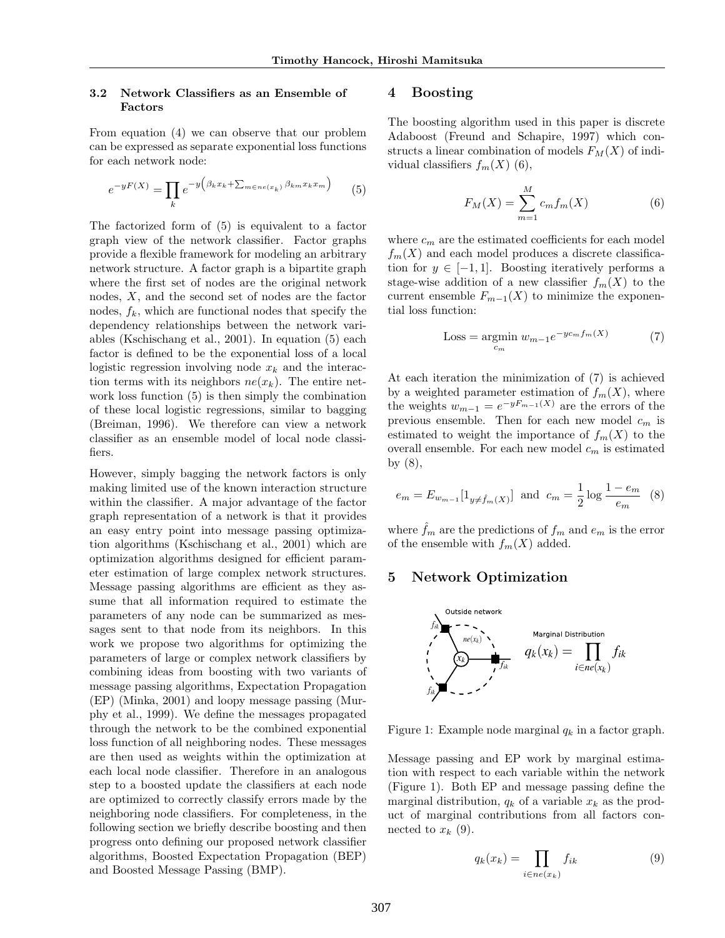### **3.2 Network Classifiers as an Ensemble of Factors**

From equation (4) we can observe that our problem can be expressed as separate exponential loss functions for each network node:

$$
e^{-yF(X)} = \prod_{k} e^{-y \left(\beta_k x_k + \sum_{m \in ne(x_k)} \beta_{km} x_k x_m\right)} \tag{5}
$$

The factorized form of (5) is equivalent to a factor graph view of the network classifier. Factor graphs provide a flexible framework for modeling an arbitrary network structure. A factor graph is a bipartite graph where the first set of nodes are the original network nodes, *X*, and the second set of nodes are the factor nodes,  $f_k$ , which are functional nodes that specify the dependency relationships between the network variables (Kschischang et al., 2001). In equation (5) each factor is defined to be the exponential loss of a local logistic regression involving node  $x_k$  and the interaction terms with its neighbors  $ne(x_k)$ . The entire network loss function (5) is then simply the combination of these local logistic regressions, similar to bagging (Breiman, 1996). We therefore can view a network classifier as an ensemble model of local node classifiers.

However, simply bagging the network factors is only making limited use of the known interaction structure within the classifier. A major advantage of the factor graph representation of a network is that it provides an easy entry point into message passing optimization algorithms (Kschischang et al., 2001) which are optimization algorithms designed for efficient parameter estimation of large complex network structures. Message passing algorithms are efficient as they assume that all information required to estimate the parameters of any node can be summarized as messages sent to that node from its neighbors. In this work we propose two algorithms for optimizing the parameters of large or complex network classifiers by combining ideas from boosting with two variants of message passing algorithms, Expectation Propagation (EP) (Minka, 2001) and loopy message passing (Murphy et al., 1999). We define the messages propagated through the network to be the combined exponential loss function of all neighboring nodes. These messages are then used as weights within the optimization at each local node classifier. Therefore in an analogous step to a boosted update the classifiers at each node are optimized to correctly classify errors made by the neighboring node classifiers. For completeness, in the following section we briefly describe boosting and then progress onto defining our proposed network classifier algorithms, Boosted Expectation Propagation (BEP) and Boosted Message Passing (BMP).

## **4 Boosting**

The boosting algorithm used in this paper is discrete Adaboost (Freund and Schapire, 1997) which constructs a linear combination of models  $F<sub>M</sub>(X)$  of individual classifiers  $f_m(X)$  (6),

$$
F_M(X) = \sum_{m=1}^{M} c_m f_m(X)
$$
 (6)

where  $c_m$  are the estimated coefficients for each model  $f_m(X)$  and each model produces a discrete classification for  $y \in [-1, 1]$ . Boosting iteratively performs a stage-wise addition of a new classifier  $f_m(X)$  to the current ensemble  $F_{m-1}(X)$  to minimize the exponential loss function:

$$
\text{Loss} = \underset{c_m}{\text{argmin}} \ w_{m-1} e^{-y c_m f_m(X)} \tag{7}
$$

At each iteration the minimization of (7) is achieved by a weighted parameter estimation of  $f_m(X)$ , where the weights  $w_{m-1} = e^{-yF_{m-1}(X)}$  are the errors of the previous ensemble. Then for each new model *c<sup>m</sup>* is estimated to weight the importance of  $f_m(X)$  to the overall ensemble. For each new model *c<sup>m</sup>* is estimated by (8),

$$
e_m = E_{w_{m-1}}[1_{y \neq \hat{f}_m(X)}]
$$
 and  $c_m = \frac{1}{2} \log \frac{1 - e_m}{e_m}$  (8)

where  $f_m$  are the predictions of  $f_m$  and  $e_m$  is the error of the ensemble with  $f_m(X)$  added.

## **5 Network Optimization**



Figure 1: Example node marginal *q<sup>k</sup>* in a factor graph.

Message passing and EP work by marginal estimation with respect to each variable within the network (Figure 1). Both EP and message passing define the marginal distribution,  $q_k$  of a variable  $x_k$  as the product of marginal contributions from all factors connected to  $x_k$  (9).

$$
q_k(x_k) = \prod_{i \in ne(x_k)} f_{ik} \tag{9}
$$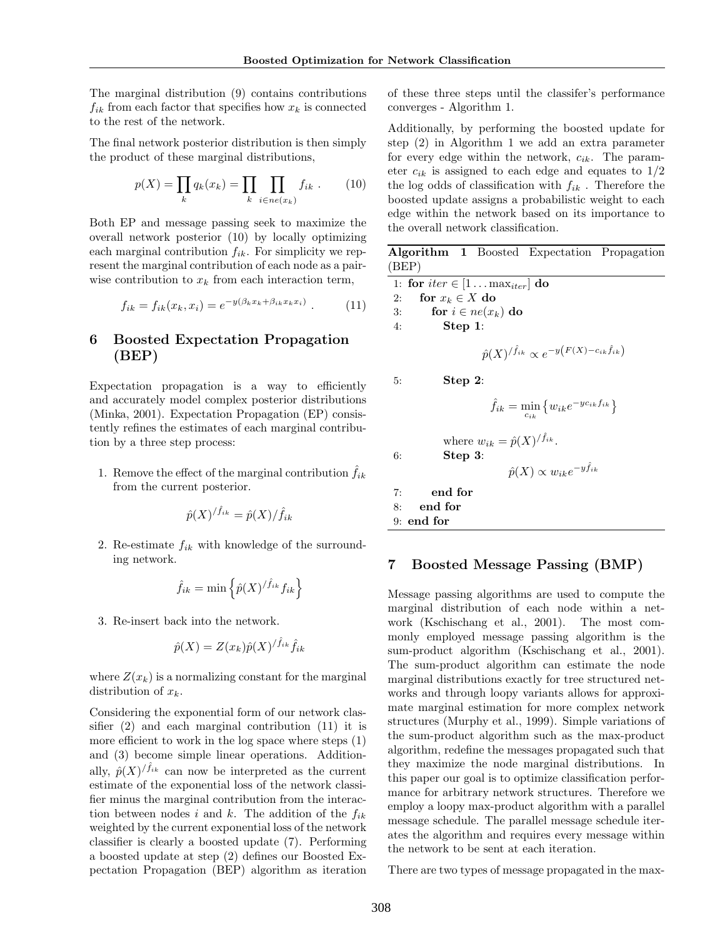The marginal distribution (9) contains contributions  $f_{ik}$  from each factor that specifies how  $x_k$  is connected to the rest of the network.

The final network posterior distribution is then simply the product of these marginal distributions,

$$
p(X) = \prod_{k} q_k(x_k) = \prod_{k} \prod_{i \in ne(x_k)} f_{ik} . \qquad (10)
$$

Both EP and message passing seek to maximize the overall network posterior (10) by locally optimizing each marginal contribution  $f_{ik}$ . For simplicity we represent the marginal contribution of each node as a pairwise contribution to  $x_k$  from each interaction term,

$$
f_{ik} = f_{ik}(x_k, x_i) = e^{-y(\beta_k x_k + \beta_{ik} x_k x_i)}.
$$
 (11)

## **6 Boosted Expectation Propagation (BEP)**

Expectation propagation is a way to efficiently and accurately model complex posterior distributions (Minka, 2001). Expectation Propagation (EP) consistently refines the estimates of each marginal contribution by a three step process:

1. Remove the effect of the marginal contribution  $f_{ik}$ from the current posterior.

$$
\hat{p}(X)^{/\hat{f}_{ik}} = \hat{p}(X)/\hat{f}_{ik}
$$

2. Re-estimate *fik* with knowledge of the surrounding network.

$$
\hat{f}_{ik} = \min\left\{\hat{p}(X)^{/\hat{f}_{ik}}f_{ik}\right\}
$$

3. Re-insert back into the network.

$$
\hat{p}(X) = Z(x_k)\hat{p}(X)^{/\hat{f}_{ik}}\hat{f}_{ik}
$$

where  $Z(x_k)$  is a normalizing constant for the marginal distribution of *xk*.

Considering the exponential form of our network classifier (2) and each marginal contribution (11) it is more efficient to work in the log space where steps (1) and (3) become simple linear operations. Additionally,  $\hat{p}(X)^{/\hat{f}_{ik}}$  can now be interpreted as the current estimate of the exponential loss of the network classifier minus the marginal contribution from the interaction between nodes *i* and *k*. The addition of the  $f_{ik}$ weighted by the current exponential loss of the network classifier is clearly a boosted update (7). Performing a boosted update at step (2) defines our Boosted Expectation Propagation (BEP) algorithm as iteration of these three steps until the classifer's performance converges - Algorithm 1.

Additionally, by performing the boosted update for step (2) in Algorithm 1 we add an extra parameter for every edge within the network, *cik*. The parameter  $c_{ik}$  is assigned to each edge and equates to  $1/2$ the log odds of classification with *fik* . Therefore the boosted update assigns a probabilistic weight to each edge within the network based on its importance to the overall network classification.

|       |                    |            |                                           | <b>Algorithm 1</b> Boosted Expectation Propagation                                |  |
|-------|--------------------|------------|-------------------------------------------|-----------------------------------------------------------------------------------|--|
| (BEP) |                    |            |                                           |                                                                                   |  |
|       |                    |            | 1: for $iter \in [1 \dots max_{iter}]$ do |                                                                                   |  |
| 2:    | for $x_k \in X$ do |            |                                           |                                                                                   |  |
| 3:    |                    |            | for $i \in ne(x_k)$ do                    |                                                                                   |  |
| 4:    |                    | Step 1:    |                                           |                                                                                   |  |
|       |                    |            |                                           | $\hat{p}(X)^{/\hat{f}_{ik}} \propto e^{-y\left(F(X) - c_{ik}\hat{f}_{ik}\right)}$ |  |
| 5:    |                    | $Step 2$ : |                                           |                                                                                   |  |
|       |                    |            |                                           | $f_{ik} = \min_{c_{ik}} \left\{ w_{ik} e^{-y c_{ik} f_{ik}} \right\}$             |  |
| 6:    |                    | Step 3:    | where $w_{ik} = \hat{p}(X)^{f_{ik}}$ .    | $\hat{p}(X) \propto w_{ik} e^{-y \tilde{f}_{ik}}$                                 |  |
|       | end for<br>7:      |            |                                           |                                                                                   |  |
| 8:    | end for            |            |                                           |                                                                                   |  |
|       | $9:$ end for       |            |                                           |                                                                                   |  |
|       |                    |            |                                           |                                                                                   |  |

## **7 Boosted Message Passing (BMP)**

Message passing algorithms are used to compute the marginal distribution of each node within a network (Kschischang et al., 2001). The most commonly employed message passing algorithm is the sum-product algorithm (Kschischang et al., 2001). The sum-product algorithm can estimate the node marginal distributions exactly for tree structured networks and through loopy variants allows for approximate marginal estimation for more complex network structures (Murphy et al., 1999). Simple variations of the sum-product algorithm such as the max-product algorithm, redefine the messages propagated such that they maximize the node marginal distributions. In this paper our goal is to optimize classification performance for arbitrary network structures. Therefore we employ a loopy max-product algorithm with a parallel message schedule. The parallel message schedule iterates the algorithm and requires every message within the network to be sent at each iteration.

There are two types of message propagated in the max-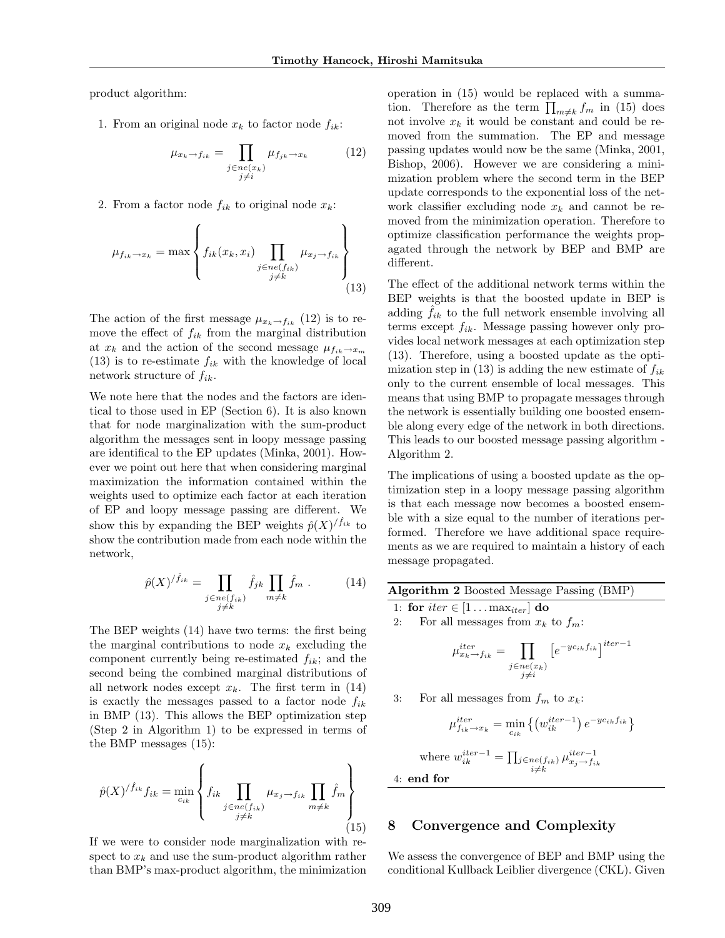product algorithm:

1. From an original node  $x_k$  to factor node  $f_{ik}$ :

$$
\mu_{x_k \to f_{ik}} = \prod_{\substack{j \in ne(x_k) \\ j \neq i}} \mu_{f_{jk} \to x_k} \tag{12}
$$

2. From a factor node  $f_{ik}$  to original node  $x_k$ :

$$
\mu_{f_{ik}\to x_k} = \max \left\{ f_{ik}(x_k, x_i) \prod_{\substack{j \in ne(f_{ik}) \\ j \neq k}} \mu_{x_j \to f_{ik}} \right\}
$$
(13)

The action of the first message  $\mu_{x_k \to f_{ik}}$  (12) is to remove the effect of *fik* from the marginal distribution at  $x_k$  and the action of the second message  $\mu_{f_{ik}} \to x_m$  $(13)$  is to re-estimate  $f_{ik}$  with the knowledge of local network structure of *fik*.

We note here that the nodes and the factors are identical to those used in EP (Section 6). It is also known that for node marginalization with the sum-product algorithm the messages sent in loopy message passing are identifical to the EP updates (Minka, 2001). However we point out here that when considering marginal maximization the information contained within the weights used to optimize each factor at each iteration of EP and loopy message passing are different. We show this by expanding the BEP weights  $\hat{p}(X)^{/\hat{f}_{ik}}$  to show the contribution made from each node within the network,

$$
\hat{p}(X)^{/\hat{f}_{ik}} = \prod_{\substack{j \in ne(f_{ik}) \\ j \neq k}} \hat{f}_{jk} \prod_{m \neq k} \hat{f}_m . \tag{14}
$$

The BEP weights (14) have two terms: the first being the marginal contributions to node  $x_k$  excluding the component currently being re-estimated *fik*; and the second being the combined marginal distributions of all network nodes except  $x_k$ . The first term in  $(14)$ is exactly the messages passed to a factor node *fik* in BMP (13). This allows the BEP optimization step (Step 2 in Algorithm 1) to be expressed in terms of the BMP messages (15):

$$
\hat{p}(X)^{/\hat{f}_{ik}} f_{ik} = \min_{c_{ik}} \left\{ f_{ik} \prod_{\substack{j \in ne(f_{ik}) \\ j \neq k}} \mu_{x_j \to f_{ik}} \prod_{m \neq k} \hat{f}_m \right\}
$$
\n(15)

If we were to consider node marginalization with respect to  $x_k$  and use the sum-product algorithm rather than BMP's max-product algorithm, the minimization

operation in (15) would be replaced with a summation. Therefore as the term  $\prod_{m \neq k} f_m$  in (15) does not involve  $x_k$  it would be constant and could be removed from the summation. The EP and message passing updates would now be the same (Minka, 2001, Bishop, 2006). However we are considering a minimization problem where the second term in the BEP update corresponds to the exponential loss of the network classifier excluding node  $x_k$  and cannot be removed from the minimization operation. Therefore to optimize classification performance the weights propagated through the network by BEP and BMP are different.

The effect of the additional network terms within the BEP weights is that the boosted update in BEP is adding  $\hat{f}_{ik}$  to the full network ensemble involving all terms except *fik*. Message passing however only provides local network messages at each optimization step (13). Therefore, using a boosted update as the optimization step in  $(13)$  is adding the new estimate of  $f_{ik}$ only to the current ensemble of local messages. This means that using BMP to propagate messages through the network is essentially building one boosted ensemble along every edge of the network in both directions. This leads to our boosted message passing algorithm - Algorithm 2.

The implications of using a boosted update as the optimization step in a loopy message passing algorithm is that each message now becomes a boosted ensemble with a size equal to the number of iterations performed. Therefore we have additional space requirements as we are required to maintain a history of each message propagated.

| <b>Algorithm 2</b> Boosted Message Passing (BMP)                                                                  |  |  |  |  |  |
|-------------------------------------------------------------------------------------------------------------------|--|--|--|--|--|
| 1: for $iter \in [1 \dots max_{iter}]$ do                                                                         |  |  |  |  |  |
| 2: For all messages from $x_k$ to $f_m$ :                                                                         |  |  |  |  |  |
| $\mu_{x_k \to f_{ik}}^{iter} = \prod \left[ e^{-yc_{ik}f_{ik}} \right]^{iter-1}$<br>$j \in ne(x_k)$<br>$i \neq i$ |  |  |  |  |  |

3: For all messages from  $f_m$  to  $x_k$ :

$$
\mu_{f_{ik}\to x_k}^{iter} = \min_{c_{ik}} \left\{ \left( w_{ik}^{iter-1} \right) e^{-y c_{ik} f_{ik}} \right\}
$$
  
where 
$$
w_{ik}^{iter-1} = \prod_{\substack{j \in ne(f_{ik}) \\ i \neq k}} \mu_{x_j \to f_{ik}}^{iter-1}
$$

4: **end for**

### **8 Convergence and Complexity**

We assess the convergence of BEP and BMP using the conditional Kullback Leiblier divergence (CKL). Given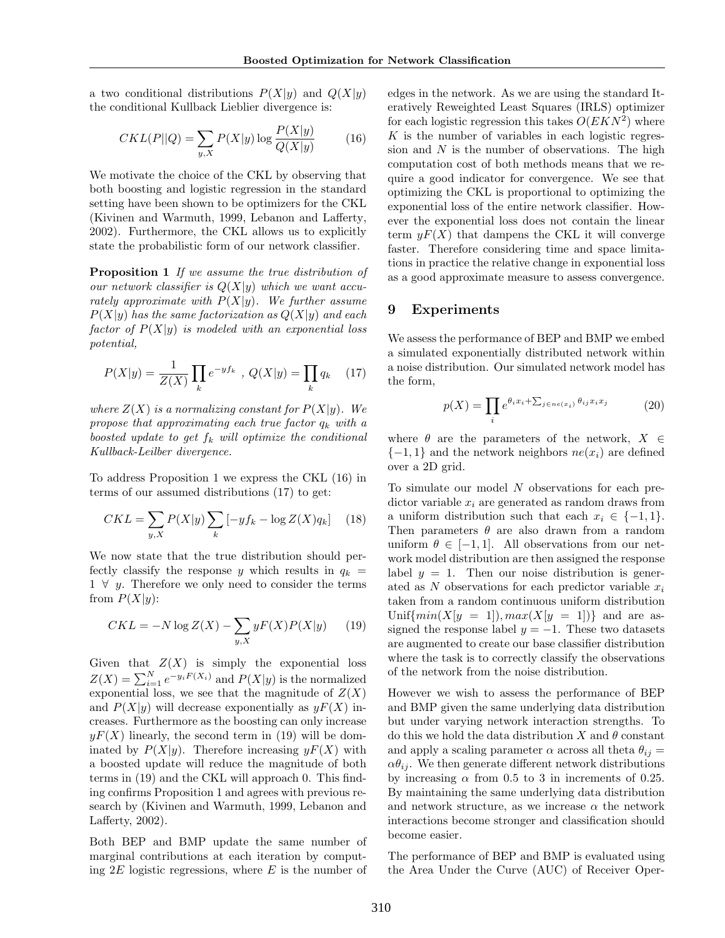a two conditional distributions  $P(X|y)$  and  $Q(X|y)$ the conditional Kullback Lieblier divergence is:

$$
CKL(P||Q) = \sum_{y,X} P(X|y) \log \frac{P(X|y)}{Q(X|y)}\tag{16}
$$

We motivate the choice of the CKL by observing that both boosting and logistic regression in the standard setting have been shown to be optimizers for the CKL (Kivinen and Warmuth, 1999, Lebanon and Lafferty, 2002). Furthermore, the CKL allows us to explicitly state the probabilistic form of our network classifier.

**Proposition 1** *If we assume the true distribution of our network classifier is Q*(*X|y*) *which we want accurately approximate with*  $P(X|y)$ *. We further assume*  $P(X|y)$  *has the same factorization as*  $Q(X|y)$  *and each factor of P*(*X|y*) *is modeled with an exponential loss potential,*

$$
P(X|y) = \frac{1}{Z(X)} \prod_{k} e^{-yf_k} , Q(X|y) = \prod_{k} q_k \quad (17)
$$

*where*  $Z(X)$  *is a normalizing constant for*  $P(X|y)$ *. We propose that approximating each true factor q<sup>k</sup> with a boosted update to get f<sup>k</sup> will optimize the conditional Kullback-Leilber divergence.*

To address Proposition 1 we express the CKL (16) in terms of our assumed distributions (17) to get:

$$
CKL = \sum_{y,X} P(X|y) \sum_{k} \left[ -y f_k - \log Z(X) q_k \right] \quad (18)
$$

We now state that the true distribution should perfectly classify the response *y* which results in  $q_k =$ 1 *∀ y*. Therefore we only need to consider the terms from  $P(X|y)$ :

$$
CKL = -N \log Z(X) - \sum_{y,X} yF(X)P(X|y) \qquad (19)
$$

Given that  $Z(X)$  is simply the exponential loss  $Z(X) = \sum_{i=1}^{N} e^{-y_i F(X_i)}$  and  $P(X|y)$  is the normalized exponential loss, we see that the magnitude of  $Z(X)$ and  $P(X|y)$  will decrease exponentially as  $yF(X)$  increases. Furthermore as the boosting can only increase  $yF(X)$  linearly, the second term in (19) will be dominated by  $P(X|y)$ . Therefore increasing  $yF(X)$  with a boosted update will reduce the magnitude of both terms in (19) and the CKL will approach 0. This finding confirms Proposition 1 and agrees with previous research by (Kivinen and Warmuth, 1999, Lebanon and Lafferty, 2002).

Both BEP and BMP update the same number of marginal contributions at each iteration by computing 2*E* logistic regressions, where *E* is the number of

edges in the network. As we are using the standard Iteratively Reweighted Least Squares (IRLS) optimizer for each logistic regression this takes *O*(*EKN*<sup>2</sup> ) where *K* is the number of variables in each logistic regression and *N* is the number of observations. The high computation cost of both methods means that we require a good indicator for convergence. We see that optimizing the CKL is proportional to optimizing the exponential loss of the entire network classifier. However the exponential loss does not contain the linear term  $yF(X)$  that dampens the CKL it will converge faster. Therefore considering time and space limitations in practice the relative change in exponential loss as a good approximate measure to assess convergence.

### **9 Experiments**

We assess the performance of BEP and BMP we embed a simulated exponentially distributed network within a noise distribution. Our simulated network model has the form,

$$
p(X) = \prod_{i} e^{\theta_i x_i + \sum_{j \in ne(x_i)} \theta_{ij} x_i x_j}
$$
 (20)

where  $\theta$  are the parameters of the network,  $X \in$  ${-1, 1}$  and the network neighbors  $ne(x_i)$  are defined over a 2D grid.

To simulate our model *N* observations for each predictor variable *x<sup>i</sup>* are generated as random draws from a uniform distribution such that each  $x_i \in \{-1, 1\}$ . Then parameters  $\theta$  are also drawn from a random uniform  $\theta \in [-1, 1]$ . All observations from our network model distribution are then assigned the response label  $y = 1$ . Then our noise distribution is generated as *N* observations for each predictor variable *x<sup>i</sup>* taken from a random continuous uniform distribution Unif{ $min(X|y = 1)$ *,*  $max(X|y = 1)$ } and are assigned the response label  $y = -1$ . These two datasets are augmented to create our base classifier distribution where the task is to correctly classify the observations of the network from the noise distribution.

However we wish to assess the performance of BEP and BMP given the same underlying data distribution but under varying network interaction strengths. To do this we hold the data distribution *X* and *θ* constant and apply a scaling parameter  $\alpha$  across all theta  $\theta_{ij} =$  $\alpha \theta_{ij}$ . We then generate different network distributions by increasing  $\alpha$  from 0.5 to 3 in increments of 0.25. By maintaining the same underlying data distribution and network structure, as we increase  $\alpha$  the network interactions become stronger and classification should become easier.

The performance of BEP and BMP is evaluated using the Area Under the Curve (AUC) of Receiver Oper-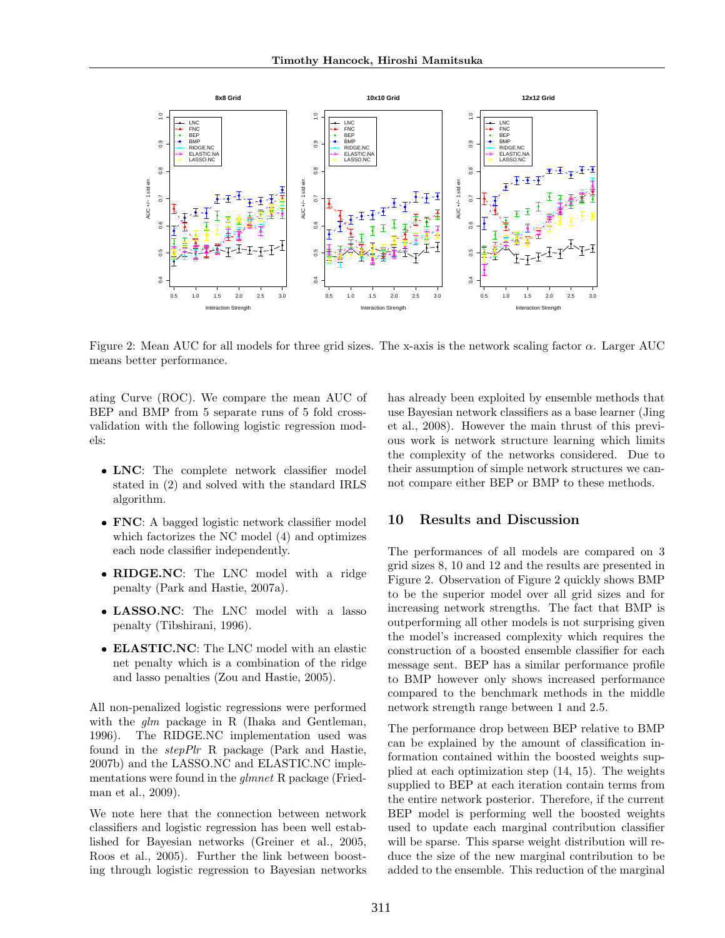

Figure 2: Mean AUC for all models for three grid sizes. The x-axis is the network scaling factor *α*. Larger AUC means better performance.

ating Curve (ROC). We compare the mean AUC of BEP and BMP from 5 separate runs of 5 fold crossvalidation with the following logistic regression models:

- **LNC**: The complete network classifier model stated in (2) and solved with the standard IRLS algorithm.
- **FNC**: A bagged logistic network classifier model which factorizes the NC model (4) and optimizes each node classifier independently.
- **RIDGE.NC**: The LNC model with a ridge penalty (Park and Hastie, 2007a).
- **LASSO.NC**: The LNC model with a lasso penalty (Tibshirani, 1996).
- **ELASTIC.NC**: The LNC model with an elastic net penalty which is a combination of the ridge and lasso penalties (Zou and Hastie, 2005).

All non-penalized logistic regressions were performed with the *glm* package in R (Ihaka and Gentleman, 1996). The RIDGE.NC implementation used was found in the *stepPlr* R package (Park and Hastie, 2007b) and the LASSO.NC and ELASTIC.NC implementations were found in the *glmnet* R package (Friedman et al., 2009).

We note here that the connection between network classifiers and logistic regression has been well established for Bayesian networks (Greiner et al., 2005, Roos et al., 2005). Further the link between boosting through logistic regression to Bayesian networks has already been exploited by ensemble methods that use Bayesian network classifiers as a base learner (Jing et al., 2008). However the main thrust of this previous work is network structure learning which limits the complexity of the networks considered. Due to their assumption of simple network structures we cannot compare either BEP or BMP to these methods.

## **10 Results and Discussion**

The performances of all models are compared on 3 grid sizes 8, 10 and 12 and the results are presented in Figure 2. Observation of Figure 2 quickly shows BMP to be the superior model over all grid sizes and for increasing network strengths. The fact that BMP is outperforming all other models is not surprising given the model's increased complexity which requires the construction of a boosted ensemble classifier for each message sent. BEP has a similar performance profile to BMP however only shows increased performance compared to the benchmark methods in the middle network strength range between 1 and 2.5.

The performance drop between BEP relative to BMP can be explained by the amount of classification information contained within the boosted weights supplied at each optimization step (14, 15). The weights supplied to BEP at each iteration contain terms from the entire network posterior. Therefore, if the current BEP model is performing well the boosted weights used to update each marginal contribution classifier will be sparse. This sparse weight distribution will reduce the size of the new marginal contribution to be added to the ensemble. This reduction of the marginal